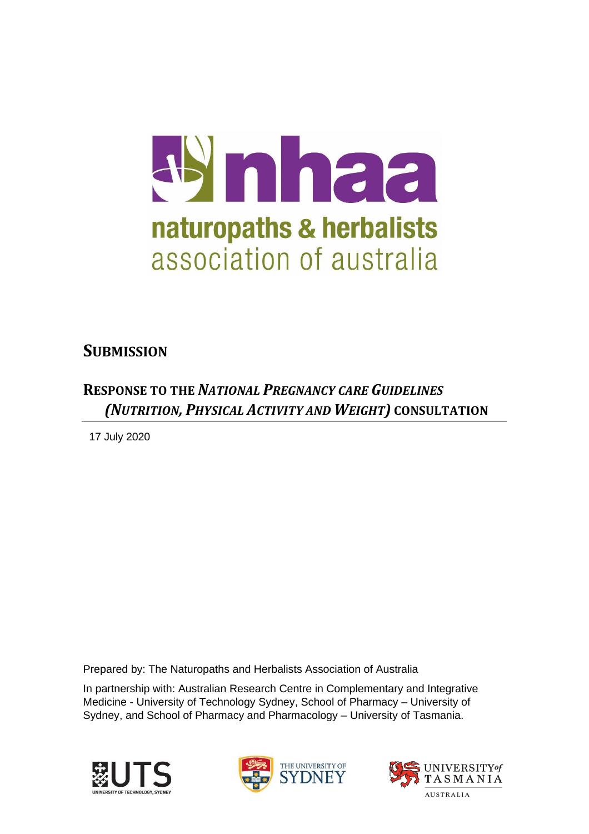

## **SUBMISSION**

## **RESPONSE TO THE** *NATIONAL PREGNANCY CARE GUIDELINES (NUTRITION, PHYSICAL ACTIVITY AND WEIGHT)* **CONSULTATION**

17 July 2020

Prepared by: The Naturopaths and Herbalists Association of Australia

In partnership with: Australian Research Centre in Complementary and Integrative Medicine - University of Technology Sydney, School of Pharmacy – University of Sydney, and School of Pharmacy and Pharmacology – University of Tasmania.





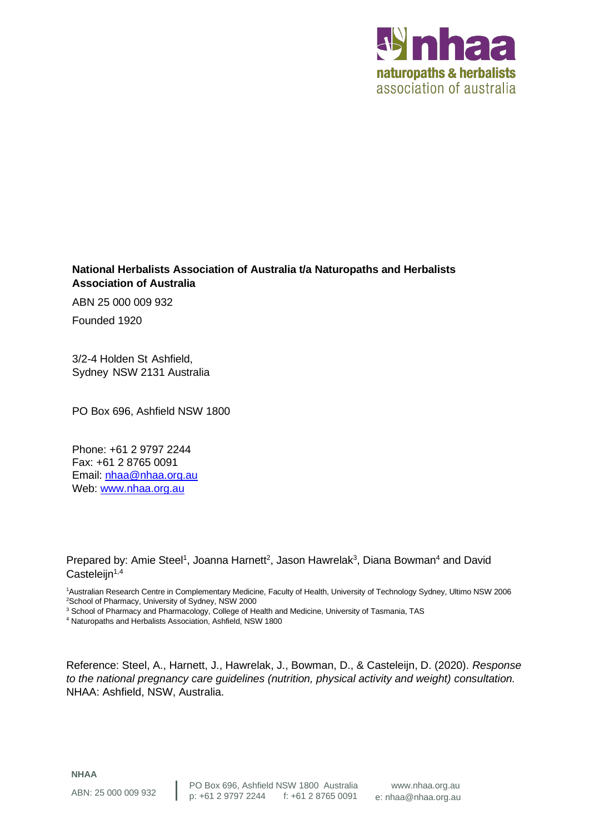

#### **National Herbalists Association of Australia t/a Naturopaths and Herbalists Association of Australia**

ABN 25 000 009 932

Founded 1920

3/2-4 Holden St Ashfield, Sydney NSW 2131 Australia

PO Box 696, Ashfield NSW 1800

Phone: +61 2 9797 2244 Fax: +61 2 8765 0091 Email: [nhaa@nhaa.org.au](mailto:nhaa@nhaa.org.au)  Web: [www.nhaa.org.au](http://www.nhaa.org.au/)

Prepared by: Amie Steel<sup>1</sup>, Joanna Harnett<sup>2</sup>, Jason Hawrelak<sup>3</sup>, Diana Bowman<sup>4</sup> and David  $Casteleijn<sup>1,4</sup>$ 

<sup>1</sup>Australian Research Centre in Complementary Medicine, Faculty of Health, University of Technology Sydney, Ultimo NSW 2006 <sup>2</sup>School of Pharmacy, University of Sydney, NSW 2000

<sup>3</sup> School of Pharmacy and Pharmacology, College of Health and Medicine, University of Tasmania, TAS

<sup>4</sup> Naturopaths and Herbalists Association, Ashfield, NSW 1800

Reference: Steel, A., Harnett, J., Hawrelak, J., Bowman, D., & Casteleijn, D. (2020). *Response to the national pregnancy care guidelines (nutrition, physical activity and weight) consultation.* NHAA: Ashfield, NSW, Australia.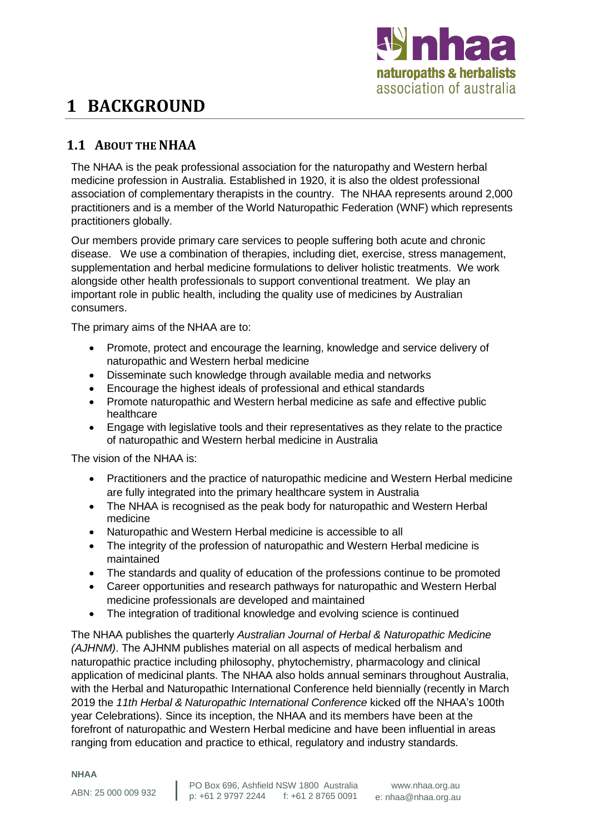

# **1 BACKGROUND**

## **1.1 ABOUT THE NHAA**

The NHAA is the peak professional association for the naturopathy and Western herbal medicine profession in Australia. Established in 1920, it is also the oldest professional association of complementary therapists in the country. The NHAA represents around 2,000 practitioners and is a member of the World Naturopathic Federation (WNF) which represents practitioners globally.

Our members provide primary care services to people suffering both acute and chronic disease. We use a combination of therapies, including diet, exercise, stress management, supplementation and herbal medicine formulations to deliver holistic treatments. We work alongside other health professionals to support conventional treatment. We play an important role in public health, including the quality use of medicines by Australian consumers.

The primary aims of the NHAA are to:

- Promote, protect and encourage the learning, knowledge and service delivery of naturopathic and Western herbal medicine
- Disseminate such knowledge through available media and networks
- Encourage the highest ideals of professional and ethical standards
- Promote naturopathic and Western herbal medicine as safe and effective public healthcare
- Engage with legislative tools and their representatives as they relate to the practice of naturopathic and Western herbal medicine in Australia

The vision of the NHAA is:

- Practitioners and the practice of naturopathic medicine and Western Herbal medicine are fully integrated into the primary healthcare system in Australia
- The NHAA is recognised as the peak body for naturopathic and Western Herbal medicine
- Naturopathic and Western Herbal medicine is accessible to all
- The integrity of the profession of naturopathic and Western Herbal medicine is maintained
- The standards and quality of education of the professions continue to be promoted
- Career opportunities and research pathways for naturopathic and Western Herbal medicine professionals are developed and maintained
- The integration of traditional knowledge and evolving science is continued

The NHAA publishes the quarterly *Australian Journal of Herbal & Naturopathic Medicine (AJHNM)*. The AJHNM publishes material on all aspects of medical herbalism and naturopathic practice including philosophy, phytochemistry, pharmacology and clinical application of medicinal plants. The NHAA also holds annual seminars throughout Australia, with the Herbal and Naturopathic International Conference held biennially (recently in March 2019 the *11th Herbal & Naturopathic International Conference* kicked off the NHAA's 100th year Celebrations). Since its inception, the NHAA and its members have been at the forefront of naturopathic and Western Herbal medicine and have been influential in areas ranging from education and practice to ethical, regulatory and industry standards.

**NHAA**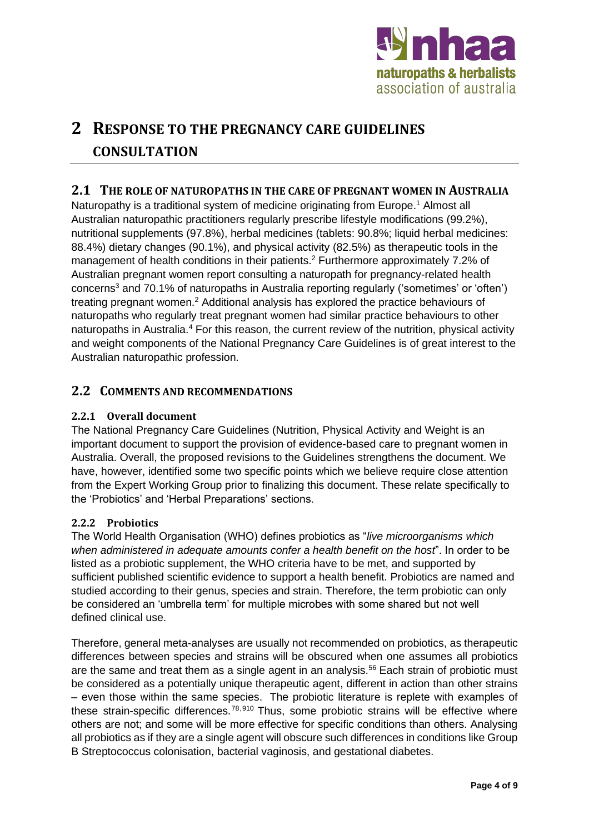

# **2 RESPONSE TO THE PREGNANCY CARE GUIDELINES CONSULTATION**

### **2.1 THE ROLE OF NATUROPATHS IN THE CARE OF PREGNANT WOMEN IN AUSTRALIA**

Naturopathy is a traditional system of medicine originating from Europe. <sup>1</sup> Almost all Australian naturopathic practitioners regularly prescribe lifestyle modifications (99.2%), nutritional supplements (97.8%), herbal medicines (tablets: 90.8%; liquid herbal medicines: 88.4%) dietary changes (90.1%), and physical activity (82.5%) as therapeutic tools in the management of health conditions in their patients.<sup>2</sup> Furthermore approximately 7.2% of Australian pregnant women report consulting a naturopath for pregnancy-related health concerns<sup>3</sup> and 70.1% of naturopaths in Australia reporting regularly ('sometimes' or 'often') treating pregnant women.<sup>2</sup> Additional analysis has explored the practice behaviours of naturopaths who regularly treat pregnant women had similar practice behaviours to other naturopaths in Australia.<sup>4</sup> For this reason, the current review of the nutrition, physical activity and weight components of the National Pregnancy Care Guidelines is of great interest to the Australian naturopathic profession.

### **2.2 COMMENTS AND RECOMMENDATIONS**

#### **2.2.1 Overall document**

The National Pregnancy Care Guidelines (Nutrition, Physical Activity and Weight is an important document to support the provision of evidence-based care to pregnant women in Australia. Overall, the proposed revisions to the Guidelines strengthens the document. We have, however, identified some two specific points which we believe require close attention from the Expert Working Group prior to finalizing this document. These relate specifically to the 'Probiotics' and 'Herbal Preparations' sections.

#### **2.2.2 Probiotics**

The World Health Organisation (WHO) defines probiotics as "*live microorganisms which when administered in adequate amounts confer a health benefit on the host*". In order to be listed as a probiotic supplement, the WHO criteria have to be met, and supported by sufficient published scientific evidence to support a health benefit. Probiotics are named and studied according to their genus, species and strain. Therefore, the term probiotic can only be considered an 'umbrella term' for multiple microbes with some shared but not well defined clinical use.

Therefore, general meta-analyses are usually not recommended on probiotics, as therapeutic differences between species and strains will be obscured when one assumes all probiotics are the same and treat them as a single agent in an analysis.<sup>56</sup> Each strain of probiotic must be considered as a potentially unique therapeutic agent, different in action than other strains – even those within the same species. The probiotic literature is replete with examples of these strain-specific differences.<sup>78,910</sup> Thus, some probiotic strains will be effective where others are not; and some will be more effective for specific conditions than others. Analysing all probiotics as if they are a single agent will obscure such differences in conditions like Group B Streptococcus colonisation, bacterial vaginosis, and gestational diabetes.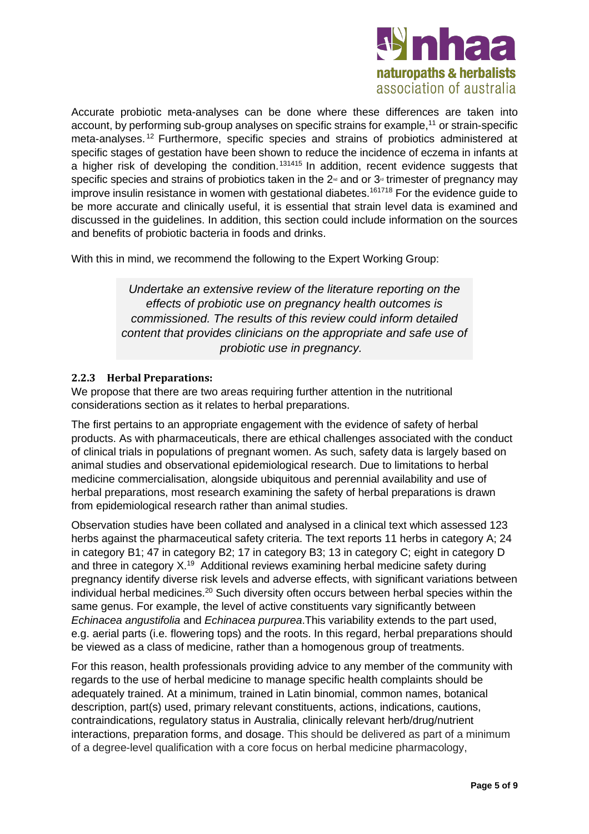

Accurate probiotic meta-analyses can be done where these differences are taken into account, by performing sub-group analyses on specific strains for example,<sup>11</sup> or strain-specific meta-analyses. <sup>12</sup> Furthermore, specific species and strains of probiotics administered at specific stages of gestation have been shown to reduce the incidence of eczema in infants at a higher risk of developing the condition.<sup>131415</sup> In addition, recent evidence suggests that specific species and strains of probiotics taken in the  $2<sup>nd</sup>$  and or  $3<sup>nd</sup>$  trimester of pregnancy may improve insulin resistance in women with gestational diabetes.<sup>161718</sup> For the evidence guide to be more accurate and clinically useful, it is essential that strain level data is examined and discussed in the guidelines. In addition, this section could include information on the sources and benefits of probiotic bacteria in foods and drinks.

With this in mind, we recommend the following to the Expert Working Group:

*Undertake an extensive review of the literature reporting on the effects of probiotic use on pregnancy health outcomes is commissioned. The results of this review could inform detailed content that provides clinicians on the appropriate and safe use of probiotic use in pregnancy.*

#### **2.2.3 Herbal Preparations:**

We propose that there are two areas requiring further attention in the nutritional considerations section as it relates to herbal preparations.

The first pertains to an appropriate engagement with the evidence of safety of herbal products. As with pharmaceuticals, there are ethical challenges associated with the conduct of clinical trials in populations of pregnant women. As such, safety data is largely based on animal studies and observational epidemiological research. Due to limitations to herbal medicine commercialisation, alongside ubiquitous and perennial availability and use of herbal preparations, most research examining the safety of herbal preparations is drawn from epidemiological research rather than animal studies.

Observation studies have been collated and analysed in a clinical text which assessed 123 herbs against the pharmaceutical safety criteria. The text reports 11 herbs in category A; 24 in category B1; 47 in category B2; 17 in category B3; 13 in category C; eight in category D and three in category X.<sup>19</sup> Additional reviews examining herbal medicine safety during pregnancy identify diverse risk levels and adverse effects, with significant variations between individual herbal medicines.<sup>20</sup> Such diversity often occurs between herbal species within the same genus. For example, the level of active constituents vary significantly between *Echinacea angustifolia* and *Echinacea purpurea*.This variability extends to the part used, e.g. aerial parts (i.e. flowering tops) and the roots. In this regard, herbal preparations should be viewed as a class of medicine, rather than a homogenous group of treatments.

For this reason, health professionals providing advice to any member of the community with regards to the use of herbal medicine to manage specific health complaints should be adequately trained. At a minimum, trained in Latin binomial, common names, botanical description, part(s) used, primary relevant constituents, actions, indications, cautions, contraindications, regulatory status in Australia, clinically relevant herb/drug/nutrient interactions, preparation forms, and dosage. This should be delivered as part of a minimum of a degree-level qualification with a core focus on herbal medicine pharmacology,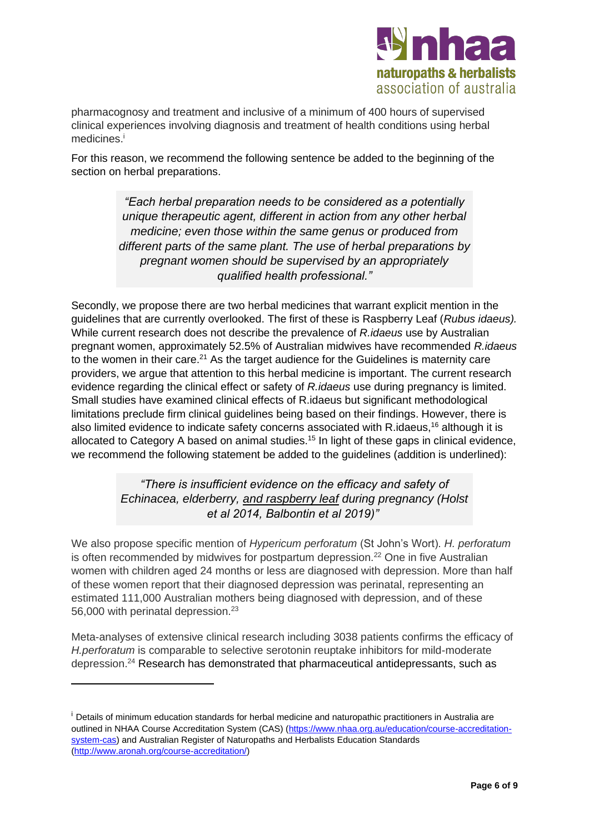

pharmacognosy and treatment and inclusive of a minimum of 400 hours of supervised clinical experiences involving diagnosis and treatment of health conditions using herbal medicines. i

For this reason, we recommend the following sentence be added to the beginning of the section on herbal preparations.

> *"Each herbal preparation needs to be considered as a potentially unique therapeutic agent, different in action from any other herbal medicine; even those within the same genus or produced from different parts of the same plant. The use of herbal preparations by pregnant women should be supervised by an appropriately qualified health professional."*

Secondly, we propose there are two herbal medicines that warrant explicit mention in the guidelines that are currently overlooked. The first of these is Raspberry Leaf (*Rubus idaeus).*  While current research does not describe the prevalence of *R.idaeus* use by Australian pregnant women, approximately 52.5% of Australian midwives have recommended *R.idaeus* to the women in their care.<sup>21</sup> As the target audience for the Guidelines is maternity care providers, we argue that attention to this herbal medicine is important. The current research evidence regarding the clinical effect or safety of *R.idaeus* use during pregnancy is limited. Small studies have examined clinical effects of R.idaeus but significant methodological limitations preclude firm clinical guidelines being based on their findings. However, there is also limited evidence to indicate safety concerns associated with R.idaeus,<sup>16</sup> although it is allocated to Category A based on animal studies.<sup>15</sup> In light of these gaps in clinical evidence, we recommend the following statement be added to the guidelines (addition is underlined):

> *"There is insufficient evidence on the efficacy and safety of Echinacea, elderberry, and raspberry leaf during pregnancy (Holst et al 2014, Balbontin et al 2019)"*

We also propose specific mention of *Hypericum perforatum* (St John's Wort). *H. perforatum*  is often recommended by midwives for postpartum depression.<sup>22</sup> One in five Australian women with children aged 24 months or less are diagnosed with depression. More than half of these women report that their diagnosed depression was perinatal, representing an estimated 111,000 Australian mothers being diagnosed with depression, and of these 56,000 with perinatal depression.<sup>23</sup>

Meta-analyses of extensive clinical research including 3038 patients confirms the efficacy of *H.perforatum* is comparable to selective serotonin reuptake inhibitors for mild-moderate depression. <sup>24</sup> Research has demonstrated that pharmaceutical antidepressants, such as

<sup>&</sup>lt;sup>i</sup> Details of minimum education standards for herbal medicine and naturopathic practitioners in Australia are outlined in NHAA Course Accreditation System (CAS) [\(https://www.nhaa.org.au/education/course-accreditation](https://www.nhaa.org.au/education/course-accreditation-system-cas)[system-cas\)](https://www.nhaa.org.au/education/course-accreditation-system-cas) and Australian Register of Naturopaths and Herbalists Education Standards [\(http://www.aronah.org/course-accreditation/\)](http://www.aronah.org/course-accreditation/)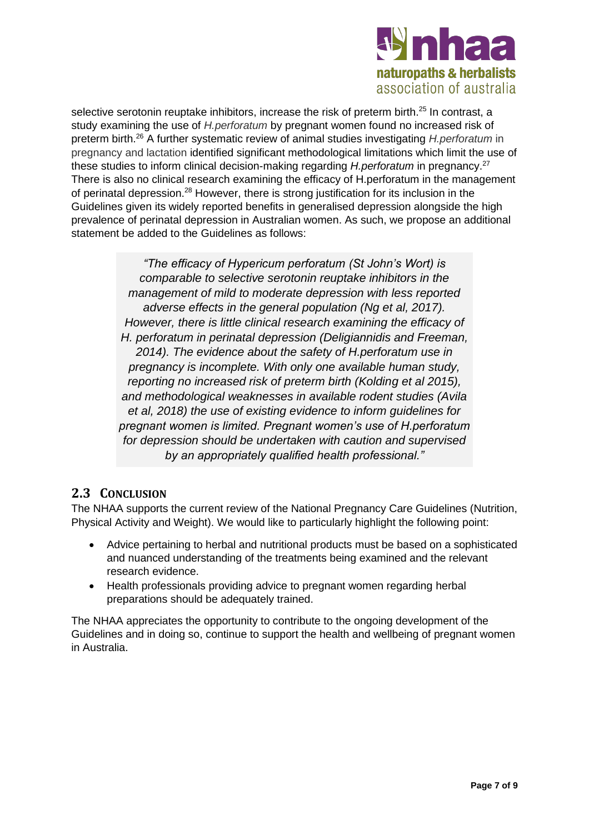

selective serotonin reuptake inhibitors, increase the risk of preterm birth.<sup>25</sup> In contrast, a study examining the use of *H.perforatum* by pregnant women found no increased risk of preterm birth.<sup>26</sup> A further systematic review of animal studies investigating *H.perforatum* in pregnancy and lactation identified significant methodological limitations which limit the use of these studies to inform clinical decision-making regarding *H.perforatum* in pregnancy.<sup>27</sup> There is also no clinical research examining the efficacy of H.perforatum in the management of perinatal depression.<sup>28</sup> However, there is strong justification for its inclusion in the Guidelines given its widely reported benefits in generalised depression alongside the high prevalence of perinatal depression in Australian women. As such, we propose an additional statement be added to the Guidelines as follows:

> *"The efficacy of Hypericum perforatum (St John's Wort) is comparable to selective serotonin reuptake inhibitors in the management of mild to moderate depression with less reported adverse effects in the general population (Ng et al, 2017). However, there is little clinical research examining the efficacy of H. perforatum in perinatal depression (Deligiannidis and Freeman, 2014). The evidence about the safety of H.perforatum use in pregnancy is incomplete. With only one available human study, reporting no increased risk of preterm birth (Kolding et al 2015), and methodological weaknesses in available rodent studies (Avila et al, 2018) the use of existing evidence to inform guidelines for pregnant women is limited. Pregnant women's use of H.perforatum for depression should be undertaken with caution and supervised by an appropriately qualified health professional."*

## **2.3 CONCLUSION**

The NHAA supports the current review of the National Pregnancy Care Guidelines (Nutrition, Physical Activity and Weight). We would like to particularly highlight the following point:

- Advice pertaining to herbal and nutritional products must be based on a sophisticated and nuanced understanding of the treatments being examined and the relevant research evidence.
- Health professionals providing advice to pregnant women regarding herbal preparations should be adequately trained.

The NHAA appreciates the opportunity to contribute to the ongoing development of the Guidelines and in doing so, continue to support the health and wellbeing of pregnant women in Australia.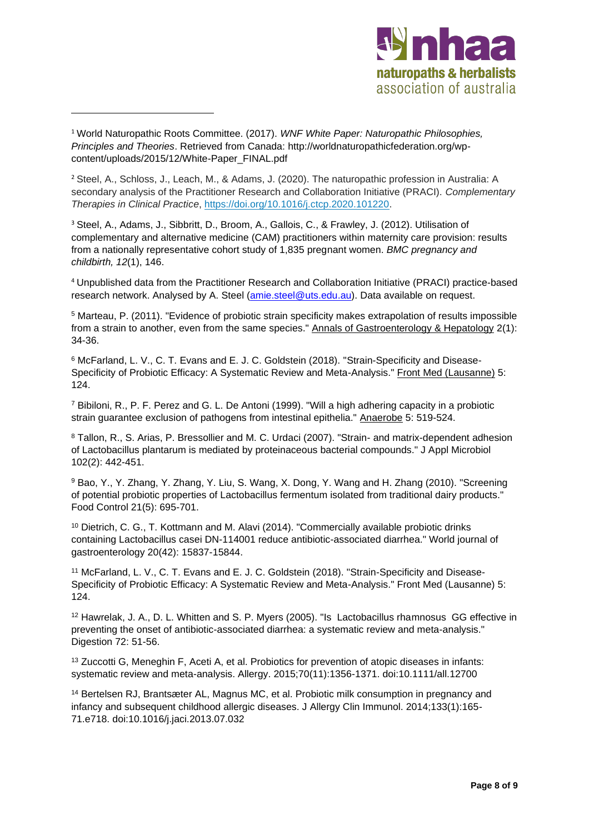

<sup>1</sup> World Naturopathic Roots Committee. (2017). *WNF White Paper: Naturopathic Philosophies, Principles and Theories*. Retrieved from Canada: [http://worldnaturopathicfederation.org/wp](http://worldnaturopathicfederation.org/wp-content/uploads/2015/12/White-Paper_FINAL.pdf)[content/uploads/2015/12/White-Paper\\_FINAL.pdf](http://worldnaturopathicfederation.org/wp-content/uploads/2015/12/White-Paper_FINAL.pdf)

<sup>2</sup> Steel, A., Schloss, J., Leach, M., & Adams, J. (2020). The naturopathic profession in Australia: A secondary analysis of the Practitioner Research and Collaboration Initiative (PRACI). *Complementary Therapies in Clinical Practice*, [https://doi.org/10.1016/j.ctcp.2020.101220.](https://doi-org.ezproxy.lib.uts.edu.au/10.1016/j.ctcp.2020.101220)

<sup>3</sup> Steel, A., Adams, J., Sibbritt, D., Broom, A., Gallois, C., & Frawley, J. (2012). Utilisation of complementary and alternative medicine (CAM) practitioners within maternity care provision: results from a nationally representative cohort study of 1,835 pregnant women. *BMC pregnancy and childbirth, 12*(1), 146.

<sup>4</sup> Unpublished data from the Practitioner Research and Collaboration Initiative (PRACI) practice-based research network. Analysed by A. Steel [\(amie.steel@uts.edu.au\)](mailto:amie.steel@uts.edu.au). Data available on request.

<sup>5</sup> Marteau, P. (2011). "Evidence of probiotic strain specificity makes extrapolation of results impossible from a strain to another, even from the same species." Annals of Gastroenterology & Hepatology 2(1): 34-36.

<sup>6</sup> McFarland, L. V., C. T. Evans and E. J. C. Goldstein (2018). "Strain-Specificity and Disease-Specificity of Probiotic Efficacy: A Systematic Review and Meta-Analysis." Front Med (Lausanne) 5: 124.

<sup>7</sup> Bibiloni, R., P. F. Perez and G. L. De Antoni (1999). "Will a high adhering capacity in a probiotic strain guarantee exclusion of pathogens from intestinal epithelia." Anaerobe 5: 519-524.

<sup>8</sup> Tallon, R., S. Arias, P. Bressollier and M. C. Urdaci (2007). "Strain- and matrix-dependent adhesion of Lactobacillus plantarum is mediated by proteinaceous bacterial compounds." J Appl Microbiol 102(2): 442-451.

<sup>9</sup> Bao, Y., Y. Zhang, Y. Zhang, Y. Liu, S. Wang, X. Dong, Y. Wang and H. Zhang (2010). "Screening of potential probiotic properties of Lactobacillus fermentum isolated from traditional dairy products." Food Control 21(5): 695-701.

<sup>10</sup> Dietrich, C. G., T. Kottmann and M. Alavi (2014). "Commercially available probiotic drinks containing Lactobacillus casei DN-114001 reduce antibiotic-associated diarrhea." World journal of gastroenterology 20(42): 15837-15844.

<sup>11</sup> McFarland, L. V., C. T. Evans and E. J. C. Goldstein (2018). "Strain-Specificity and Disease-Specificity of Probiotic Efficacy: A Systematic Review and Meta-Analysis." Front Med (Lausanne) 5: 124.

<sup>12</sup> Hawrelak, J. A., D. L. Whitten and S. P. Myers (2005). "Is Lactobacillus rhamnosus GG effective in preventing the onset of antibiotic-associated diarrhea: a systematic review and meta-analysis." Digestion 72: 51-56.

<sup>13</sup> Zuccotti G, Meneghin F, Aceti A, et al. Probiotics for prevention of atopic diseases in infants: systematic review and meta-analysis. Allergy. 2015;70(11):1356-1371. doi:10.1111/all.12700

<sup>14</sup> Bertelsen RJ, Brantsæter AL, Magnus MC, et al. Probiotic milk consumption in pregnancy and infancy and subsequent childhood allergic diseases. J Allergy Clin Immunol. 2014;133(1):165- 71.e718. doi:10.1016/j.jaci.2013.07.032